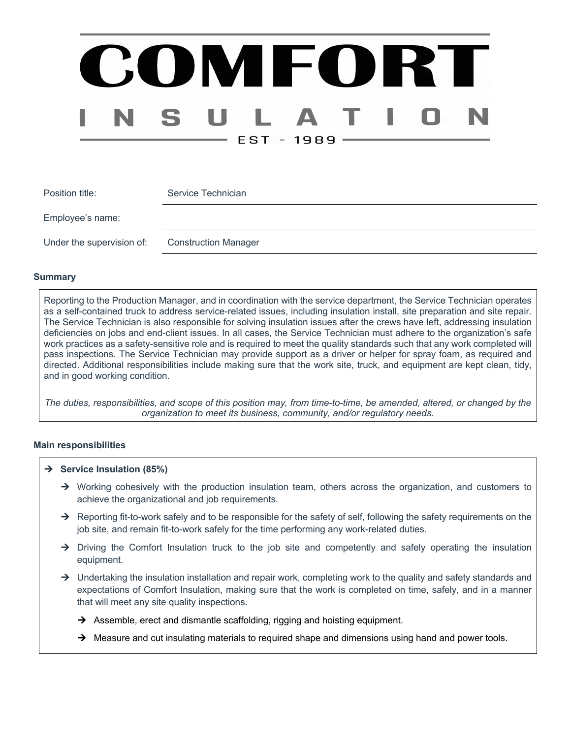# COMFORT EST - 1989 ·

| Position title:           | Service Technician          |
|---------------------------|-----------------------------|
| Employee's name:          |                             |
| Under the supervision of: | <b>Construction Manager</b> |

#### **Summary**

Reporting to the Production Manager, and in coordination with the service department, the Service Technician operates as a self-contained truck to address service-related issues, including insulation install, site preparation and site repair. The Service Technician is also responsible for solving insulation issues after the crews have left, addressing insulation deficiencies on jobs and end-client issues. In all cases, the Service Technician must adhere to the organization's safe work practices as a safety-sensitive role and is required to meet the quality standards such that any work completed will pass inspections. The Service Technician may provide support as a driver or helper for spray foam, as required and directed. Additional responsibilities include making sure that the work site, truck, and equipment are kept clean, tidy, and in good working condition.

*The duties, responsibilities, and scope of this position may, from time-to-time, be amended, altered, or changed by the organization to meet its business, community, and/or regulatory needs.*

#### **Main responsibilities**

- $→$  Service Insulation (85%)
	- $\rightarrow$  Working cohesively with the production insulation team, others across the organization, and customers to achieve the organizational and job requirements.
	- $\rightarrow$  Reporting fit-to-work safely and to be responsible for the safety of self, following the safety requirements on the job site, and remain fit-to-work safely for the time performing any work-related duties.
	- $\rightarrow$  Driving the Comfort Insulation truck to the job site and competently and safely operating the insulation equipment.
	- $\rightarrow$  Undertaking the insulation installation and repair work, completing work to the quality and safety standards and expectations of Comfort Insulation, making sure that the work is completed on time, safely, and in a manner that will meet any site quality inspections.
		- $\rightarrow$  Assemble, erect and dismantle scaffolding, rigging and hoisting equipment.
		- $\rightarrow$  Measure and cut insulating materials to required shape and dimensions using hand and power tools.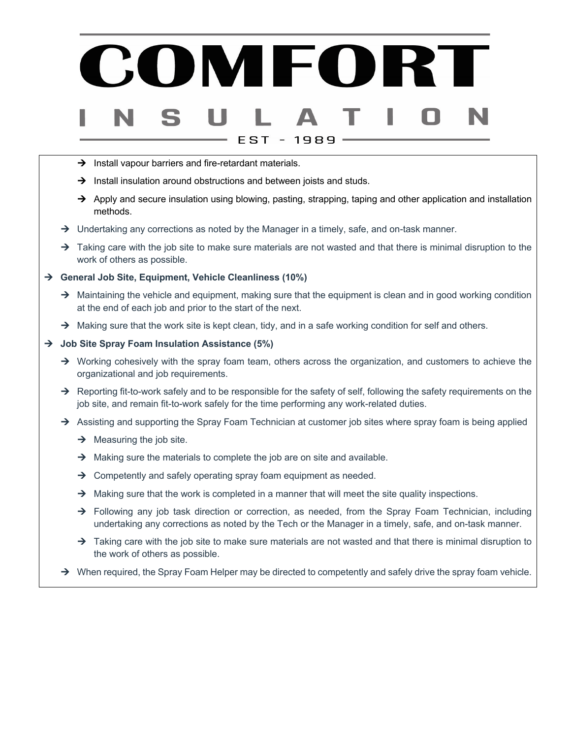## OMFORT EST 1989

- $\rightarrow$  Install vapour barriers and fire-retardant materials.
- $\rightarrow$  Install insulation around obstructions and between joists and studs.
- $\rightarrow$  Apply and secure insulation using blowing, pasting, strapping, taping and other application and installation methods.
- $\rightarrow$  Undertaking any corrections as noted by the Manager in a timely, safe, and on-task manner.
- $\rightarrow$  Taking care with the job site to make sure materials are not wasted and that there is minimal disruption to the work of others as possible.

#### → General Job Site, Equipment, Vehicle Cleanliness (10%)

- $\rightarrow$  Maintaining the vehicle and equipment, making sure that the equipment is clean and in good working condition at the end of each job and prior to the start of the next.
- $\rightarrow$  Making sure that the work site is kept clean, tidy, and in a safe working condition for self and others.

#### → Job Site Spray Foam Insulation Assistance (5%)

- $\rightarrow$  Working cohesively with the spray foam team, others across the organization, and customers to achieve the organizational and job requirements.
- $\rightarrow$  Reporting fit-to-work safely and to be responsible for the safety of self, following the safety requirements on the job site, and remain fit-to-work safely for the time performing any work-related duties.
- $\rightarrow$  Assisting and supporting the Spray Foam Technician at customer job sites where spray foam is being applied
	- $\rightarrow$  Measuring the job site.
	- $\rightarrow$  Making sure the materials to complete the job are on site and available.
	- $\rightarrow$  Competently and safely operating spray foam equipment as needed.
	- $\rightarrow$  Making sure that the work is completed in a manner that will meet the site quality inspections.
	- $\rightarrow$  Following any job task direction or correction, as needed, from the Spray Foam Technician, including undertaking any corrections as noted by the Tech or the Manager in a timely, safe, and on-task manner.
	- $\rightarrow$  Taking care with the job site to make sure materials are not wasted and that there is minimal disruption to the work of others as possible.
- $\rightarrow$  When required, the Spray Foam Helper may be directed to competently and safely drive the spray foam vehicle.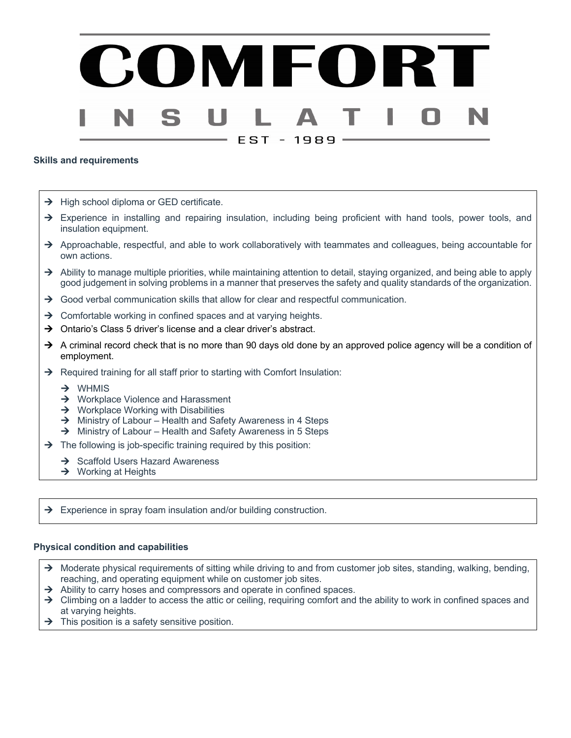# MEOI EST - 1989

#### **Skills and requirements**

- $\rightarrow$  High school diploma or GED certificate.
- $\rightarrow$  Experience in installing and repairing insulation, including being proficient with hand tools, power tools, and insulation equipment.
- $\rightarrow$  Approachable, respectful, and able to work collaboratively with teammates and colleagues, being accountable for own actions.
- Ability to manage multiple priorities, while maintaining attention to detail, staying organized, and being able to apply good judgement in solving problems in a manner that preserves the safety and quality standards of the organization.
- $\rightarrow$  Good verbal communication skills that allow for clear and respectful communication.
- $\rightarrow$  Comfortable working in confined spaces and at varying heights.
- $\rightarrow$  Ontario's Class 5 driver's license and a clear driver's abstract.
- $\rightarrow$  A criminal record check that is no more than 90 days old done by an approved police agency will be a condition of employment.
- $\rightarrow$  Required training for all staff prior to starting with Comfort Insulation:
	- $\rightarrow$  WHMIS
	- $\rightarrow$  Workplace Violence and Harassment
	- $\rightarrow$  Workplace Working with Disabilities
	- $\rightarrow$  Ministry of Labour Health and Safety Awareness in 4 Steps
	- $\rightarrow$  Ministry of Labour Health and Safety Awareness in 5 Steps
- $\rightarrow$  The following is job-specific training required by this position:
	- $\rightarrow$  Scaffold Users Hazard Awareness
	- $\rightarrow$  Working at Heights

 $\rightarrow$  Experience in spray foam insulation and/or building construction.

#### **Physical condition and capabilities**

- $\rightarrow$  Moderate physical requirements of sitting while driving to and from customer job sites, standing, walking, bending, reaching, and operating equipment while on customer job sites.
- $\rightarrow$  Ability to carry hoses and compressors and operate in confined spaces.
- $\rightarrow$  Climbing on a ladder to access the attic or ceiling, requiring comfort and the ability to work in confined spaces and at varying heights.
- $\rightarrow$  This position is a safety sensitive position.